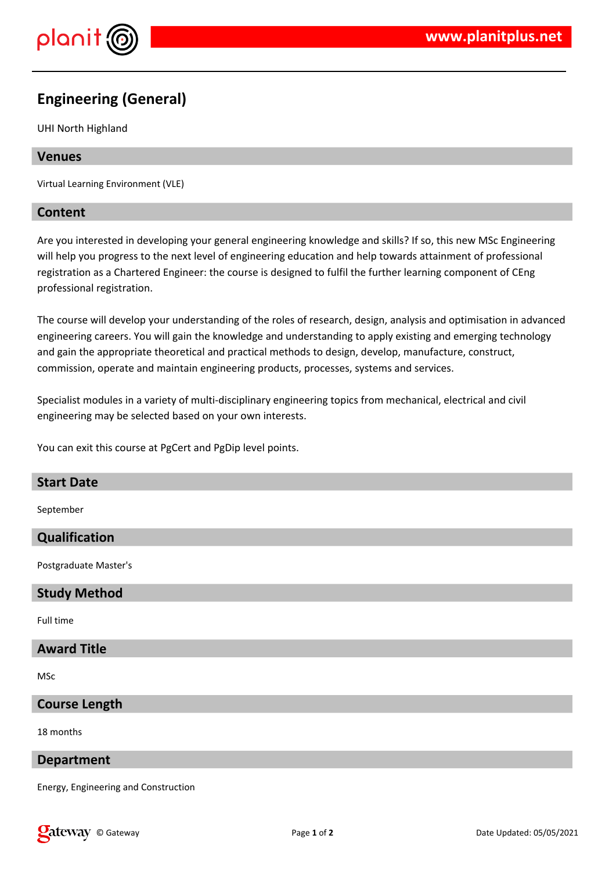

# **Engineering (General)**

UHI North Highland

## **Venues**

Virtual Learning Environment (VLE)

## **Content**

Are you interested in developing your general engineering knowledge and skills? If so, this new MSc Engineering will help you progress to the next level of engineering education and help towards attainment of professional registration as a Chartered Engineer: the course is designed to fulfil the further learning component of CEng professional registration.

The course will develop your understanding of the roles of research, design, analysis and optimisation in advanced engineering careers. You will gain the knowledge and understanding to apply existing and emerging technology and gain the appropriate theoretical and practical methods to design, develop, manufacture, construct, commission, operate and maintain engineering products, processes, systems and services.

Specialist modules in a variety of multi-disciplinary engineering topics from mechanical, electrical and civil engineering may be selected based on your own interests.

You can exit this course at PgCert and PgDip level points.

## **Start Date**

September

## **Qualification**

Postgraduate Master's

## **Study Method**

Full time

## **Award Title**

MSc

## **Course Length**

18 months

#### **Department**

Energy, Engineering and Construction